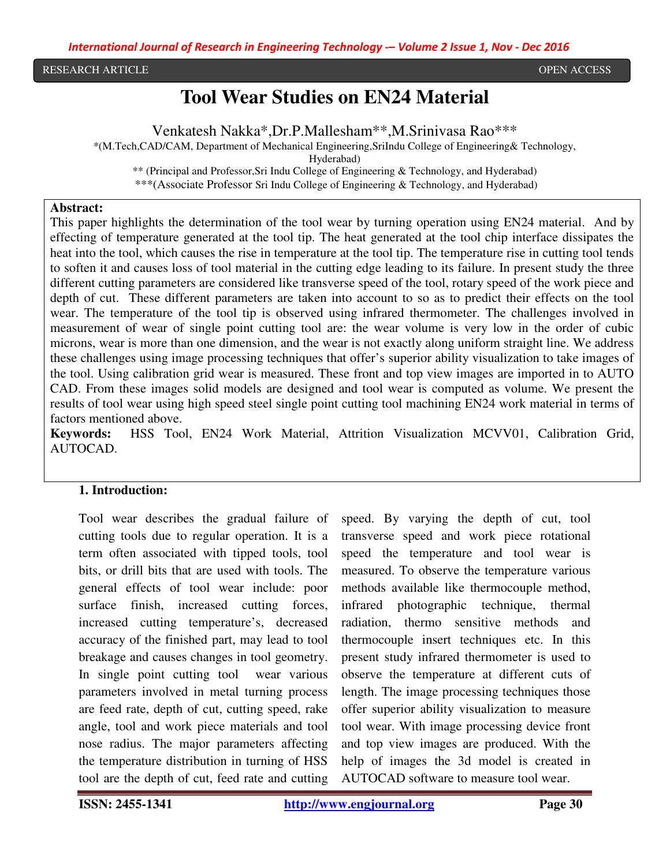RESEARCH ARTICLE **External open Access** open Access of the United States of the United States of the United States of the United States of the United States of the United States of the United States of the United States of

# **Tool Wear Studies on EN24 Material**

Venkatesh Nakka\*,Dr.P.Mallesham\*\*,M.Srinivasa Rao\*\*\*

\*(M.Tech,CAD/CAM, Department of Mechanical Engineering,SriIndu College of Engineering& Technology,

Hyderabad)

\*\* (Principal and Professor,Sri Indu College of Engineering & Technology, and Hyderabad)

\*\*\*(Associate Professor Sri Indu College of Engineering & Technology, and Hyderabad)

#### **Abstract:**

This paper highlights the determination of the tool wear by turning operation using EN24 material. And by effecting of temperature generated at the tool tip. The heat generated at the tool chip interface dissipates the heat into the tool, which causes the rise in temperature at the tool tip. The temperature rise in cutting tool tends to soften it and causes loss of tool material in the cutting edge leading to its failure. In present study the three different cutting parameters are considered like transverse speed of the tool, rotary speed of the work piece and depth of cut. These different parameters are taken into account to so as to predict their effects on the tool wear. The temperature of the tool tip is observed using infrared thermometer. The challenges involved in measurement of wear of single point cutting tool are: the wear volume is very low in the order of cubic microns, wear is more than one dimension, and the wear is not exactly along uniform straight line. We address these challenges using image processing techniques that offer's superior ability visualization to take images of the tool. Using calibration grid wear is measured. These front and top view images are imported in to AUTO CAD. From these images solid models are designed and tool wear is computed as volume. We present the results of tool wear using high speed steel single point cutting tool machining EN24 work material in terms of factors mentioned above.

**Keywords:** HSS Tool, EN24 Work Material, Attrition Visualization MCVV01, Calibration Grid, AUTOCAD.

#### **1. Introduction:**

Tool wear describes the gradual failure of cutting tools due to regular operation. It is a term often associated with tipped tools, tool bits, or drill bits that are used with tools. The general effects of tool wear include: poor surface finish, increased cutting forces, increased cutting temperature's, decreased accuracy of the finished part, may lead to tool breakage and causes changes in tool geometry. In single point cutting tool wear various parameters involved in metal turning process are feed rate, depth of cut, cutting speed, rake angle, tool and work piece materials and tool nose radius. The major parameters affecting the temperature distribution in turning of HSS tool are the depth of cut, feed rate and cutting

speed. By varying the depth of cut, tool transverse speed and work piece rotational speed the temperature and tool wear is measured. To observe the temperature various methods available like thermocouple method, infrared photographic technique, thermal radiation, thermo sensitive methods and thermocouple insert techniques etc. In this present study infrared thermometer is used to observe the temperature at different cuts of length. The image processing techniques those offer superior ability visualization to measure tool wear. With image processing device front and top view images are produced. With the help of images the 3d model is created in AUTOCAD software to measure tool wear.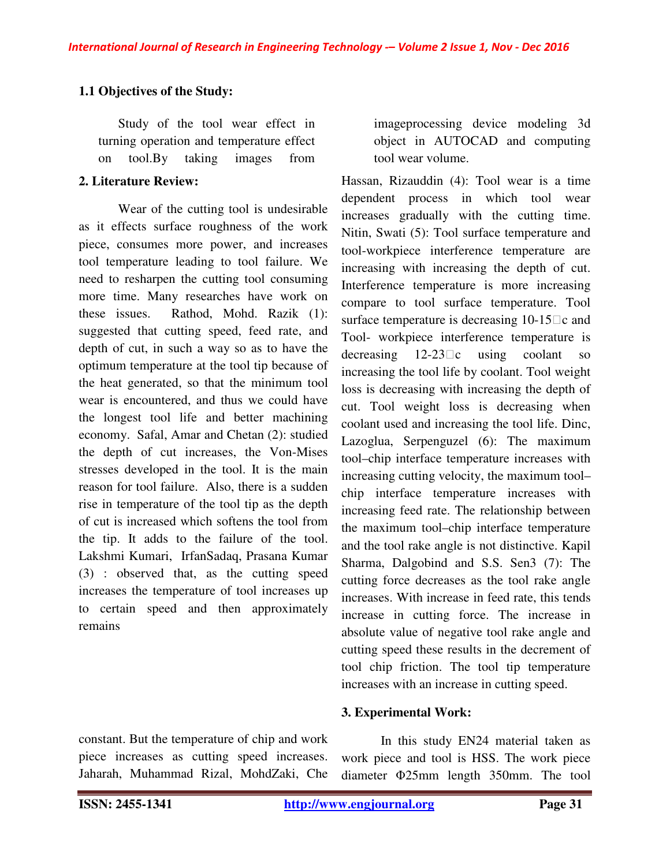### **1.1 Objectives of the Study:**

Study of the tool wear effect in turning operation and temperature effect on tool.By taking images from

### **2. Literature Review:**

Wear of the cutting tool is undesirable as it effects surface roughness of the work piece, consumes more power, and increases tool temperature leading to tool failure. We need to resharpen the cutting tool consuming more time. Many researches have work on these issues. Rathod, Mohd. Razik (1): suggested that cutting speed, feed rate, and depth of cut, in such a way so as to have the optimum temperature at the tool tip because of the heat generated, so that the minimum tool wear is encountered, and thus we could have the longest tool life and better machining economy. Safal, Amar and Chetan (2): studied the depth of cut increases, the Von-Mises stresses developed in the tool. It is the main reason for tool failure. Also, there is a sudden rise in temperature of the tool tip as the depth of cut is increased which softens the tool from the tip. It adds to the failure of the tool. Lakshmi Kumari, IrfanSadaq, Prasana Kumar (3) : observed that, as the cutting speed increases the temperature of tool increases up to certain speed and then approximately remains

imageprocessing device modeling 3d object in AUTOCAD and computing tool wear volume.

Hassan, Rizauddin (4): Tool wear is a time dependent process in which tool wear increases gradually with the cutting time. Nitin, Swati (5): Tool surface temperature and tool-workpiece interference temperature are increasing with increasing the depth of cut. Interference temperature is more increasing compare to tool surface temperature. Tool surface temperature is decreasing  $10-15\degree$  c and Tool- workpiece interference temperature is decreasing  $12-23\Box$ c using coolant so increasing the tool life by coolant. Tool weight loss is decreasing with increasing the depth of cut. Tool weight loss is decreasing when coolant used and increasing the tool life. Dinc, Lazoglua, Serpenguzel (6): The maximum tool–chip interface temperature increases with increasing cutting velocity, the maximum tool– chip interface temperature increases with increasing feed rate. The relationship between the maximum tool–chip interface temperature and the tool rake angle is not distinctive. Kapil Sharma, Dalgobind and S.S. Sen3 (7): The cutting force decreases as the tool rake angle increases. With increase in feed rate, this tends increase in cutting force. The increase in absolute value of negative tool rake angle and cutting speed these results in the decrement of tool chip friction. The tool tip temperature increases with an increase in cutting speed.

#### **3. Experimental Work:**

constant. But the temperature of chip and work piece increases as cutting speed increases. Jaharah, Muhammad Rizal, MohdZaki, Che

In this study EN24 material taken as work piece and tool is HSS. The work piece diameter Φ25mm length 350mm. The tool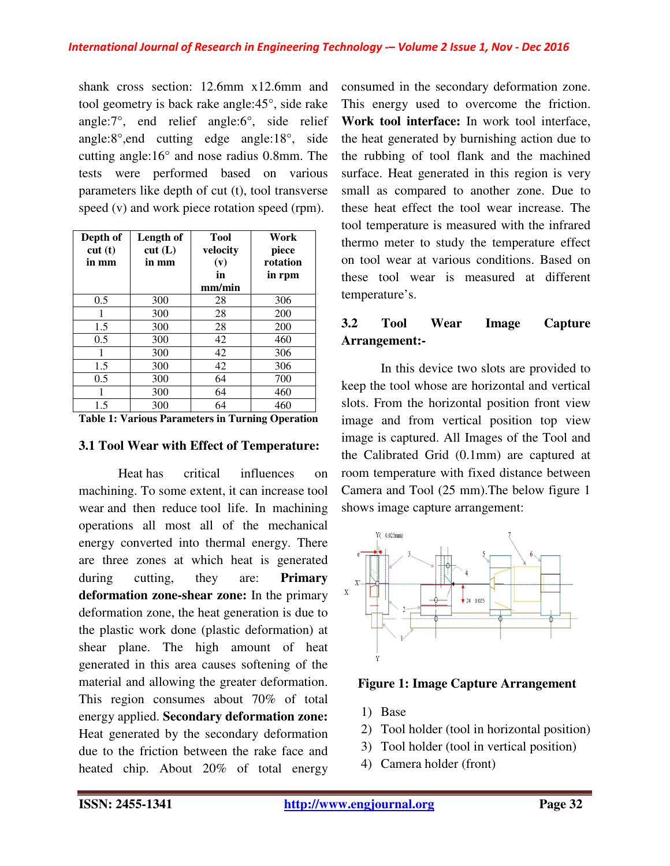shank cross section: 12.6mm x12.6mm and tool geometry is back rake angle:45°, side rake angle:7°, end relief angle:6°, side relief angle:8°,end cutting edge angle:18°, side cutting angle:16° and nose radius 0.8mm. The tests were performed based on various parameters like depth of cut (t), tool transverse speed (v) and work piece rotation speed (rpm).

| Depth of<br>cut(t)<br>in mm | Length of<br>cut(L)<br>in mm | <b>Tool</b><br>velocity<br>(v)<br>in<br>mm/min | Work<br>piece<br>rotation<br>in rpm |  |
|-----------------------------|------------------------------|------------------------------------------------|-------------------------------------|--|
| 0.5                         | 300                          | 28                                             | 306                                 |  |
| 1                           | 300                          | 28                                             | 200                                 |  |
| 1.5                         | 300                          | 28                                             | 200                                 |  |
| 0.5                         | 300                          | 42                                             | 460                                 |  |
| 1                           | 300                          | 42                                             | 306                                 |  |
| 1.5                         | 300                          | 42                                             | 306                                 |  |
| 0.5                         | 300                          | 64                                             | 700                                 |  |
| 1                           | 300                          | 64                                             | 460                                 |  |
| 1.5                         | 300                          | 64                                             | 460                                 |  |

**Table 1: Various Parameters in Turning Operation** 

#### **3.1 Tool Wear with Effect of Temperature:**

Heat has critical influences on machining. To some extent, it can increase tool wear and then reduce tool life. In machining operations all most all of the mechanical energy converted into thermal energy. There are three zones at which heat is generated during cutting, they are: **Primary deformation zone-shear zone:** In the primary deformation zone, the heat generation is due to the plastic work done (plastic deformation) at shear plane. The high amount of heat generated in this area causes softening of the material and allowing the greater deformation. This region consumes about 70% of total energy applied. **Secondary deformation zone:** Heat generated by the secondary deformation due to the friction between the rake face and heated chip. About 20% of total energy

consumed in the secondary deformation zone. This energy used to overcome the friction. **Work tool interface:** In work tool interface, the heat generated by burnishing action due to the rubbing of tool flank and the machined surface. Heat generated in this region is very small as compared to another zone. Due to these heat effect the tool wear increase. The tool temperature is measured with the infrared thermo meter to study the temperature effect on tool wear at various conditions. Based on these tool wear is measured at different temperature's.

# **3.2 Tool Wear Image Capture Arrangement:-**

In this device two slots are provided to keep the tool whose are horizontal and vertical slots. From the horizontal position front view image and from vertical position top view image is captured. All Images of the Tool and the Calibrated Grid (0.1mm) are captured at room temperature with fixed distance between Camera and Tool (25 mm).The below figure 1 shows image capture arrangement:



 **Figure 1: Image Capture Arrangement** 

- 1) Base
- 2) Tool holder (tool in horizontal position)
- 3) Tool holder (tool in vertical position)
- 4) Camera holder (front)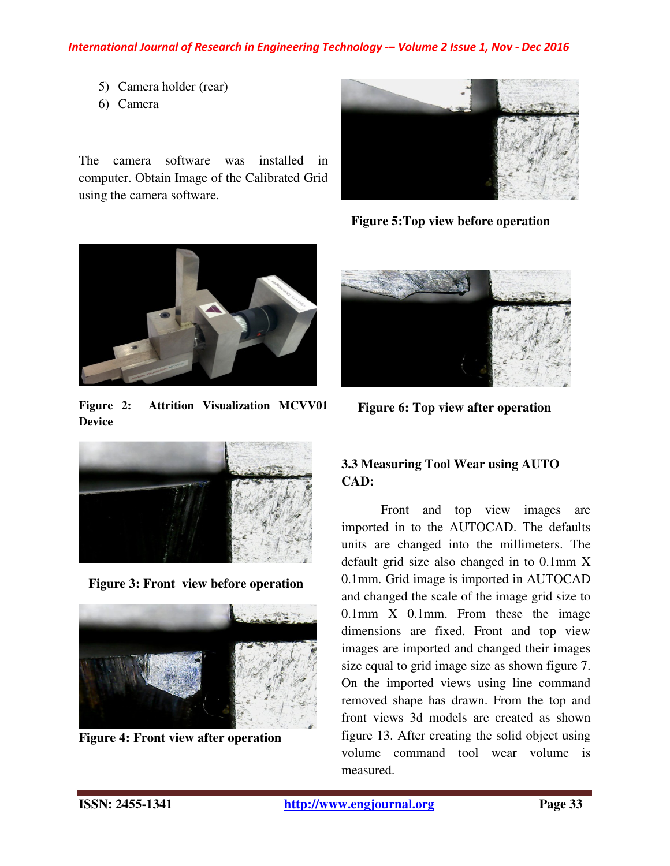#### *International Journal of Research in Engineering Technology -– Volume 2 Issue 1, Nov - Dec 2016*

- 5) Camera holder (rear)
- 6) Camera

The camera software was installed in computer. Obtain Image of the Calibrated Grid using the camera software.



 **Figure 5:Top view before operation** 



**Figure 2: Attrition Visualization MCVV01 Device**



 **Figure 3: Front view before operation**



**Figure 4: Front view after operation**



 **Figure 6: Top view after operation** 

# **3.3 Measuring Tool Wear using AUTO CAD:**

Front and top view images are imported in to the AUTOCAD. The defaults units are changed into the millimeters. The default grid size also changed in to 0.1mm X 0.1mm. Grid image is imported in AUTOCAD and changed the scale of the image grid size to 0.1mm X 0.1mm. From these the image dimensions are fixed. Front and top view images are imported and changed their images size equal to grid image size as shown figure 7. On the imported views using line command removed shape has drawn. From the top and front views 3d models are created as shown figure 13. After creating the solid object using volume command tool wear volume is measured.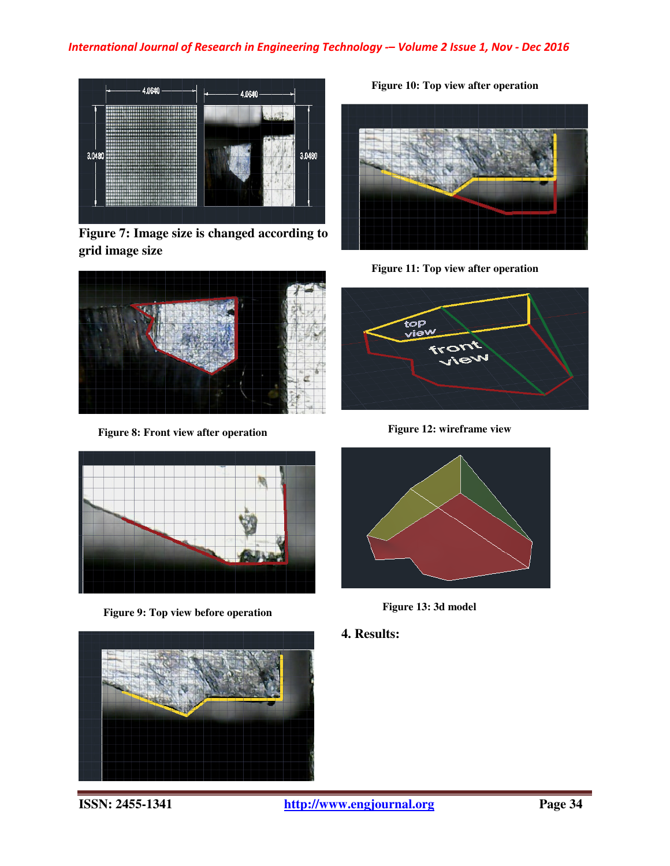

**Figure 7: Image size is changed according to grid image size** 



 **Figure 8: Front view after operation** 



 **Figure 9: Top view before operation** 



 **Figure 10: Top view after operation** 



 **Figure 11: Top view after operation** 



 **Figure 12: wireframe view** 



 **Figure 13: 3d model** 

**4. Results:**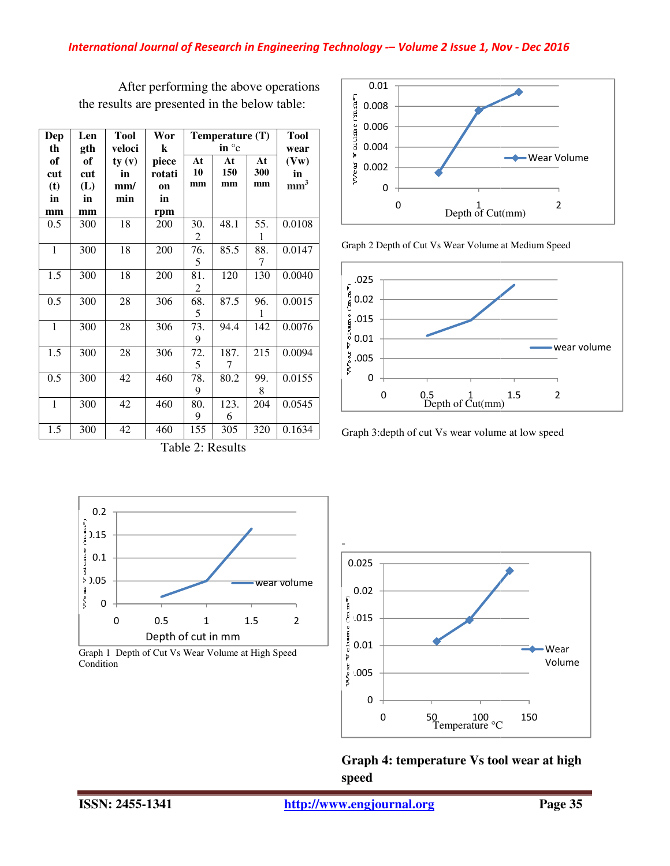| Dep | Len | Tool   | Wor    | Temperature (T) |      |     | Tool            |
|-----|-----|--------|--------|-----------------|------|-----|-----------------|
| th  | gth | veloci | k      | in $\degree$ c  |      |     | wear            |
| of  | of  | ty(y)  | piece  | At              | At   | At  | (Vw)            |
| cut | cut | in     | rotati | 10              | 150  | 300 | in              |
| (t) | (L) | mm/    | on     | mm              | mm   | mm  | mm <sup>3</sup> |
| in  | in  | min    | in     |                 |      |     |                 |
| mm  | mm  |        | rpm    |                 |      |     |                 |
| 0.5 | 300 | 18     | 200    | 30.             | 48.1 | 55. | 0.0108          |
|     |     |        |        | 2               |      | 1   |                 |
| 1   | 300 | 18     | 200    | 76.             | 85.5 | 88. | 0.0147          |
|     |     |        |        | 5               |      | 7   |                 |
| 1.5 | 300 | 18     | 200    | 81.             | 120  | 130 | 0.0040          |
|     |     |        |        | 2               |      |     |                 |
| 0.5 | 300 | 28     | 306    | 68.             | 87.5 | 96. | 0.0015          |
|     |     |        |        | 5               |      | 1   |                 |
| 1   | 300 | 28     | 306    | 73.             | 94.4 | 142 | 0.0076          |
|     |     |        |        | 9               |      |     |                 |
| 1.5 | 300 | 28     | 306    | 72.             | 187. | 215 | 0.0094          |
|     |     |        |        | 5               | 7    |     |                 |
| 0.5 | 300 | 42     | 460    | 78.             | 80.2 | 99. | 0.0155          |
|     |     |        |        | 9               |      | 8   |                 |
| 1   | 300 | 42     | 460    | 80.             | 123. | 204 | 0.0545          |
|     |     |        |        | 9               | 6    |     |                 |
| 1.5 | 300 | 42     | 460    | 155             | 305  | 320 | 0.1634          |

After performing the above operations the results are presented in the below table:





Graph 3:depth of cut Vs wear volume at low speed



Table 2: Results

Graph 1 Depth of Cut Vs Wear Volume at High Speed Condition



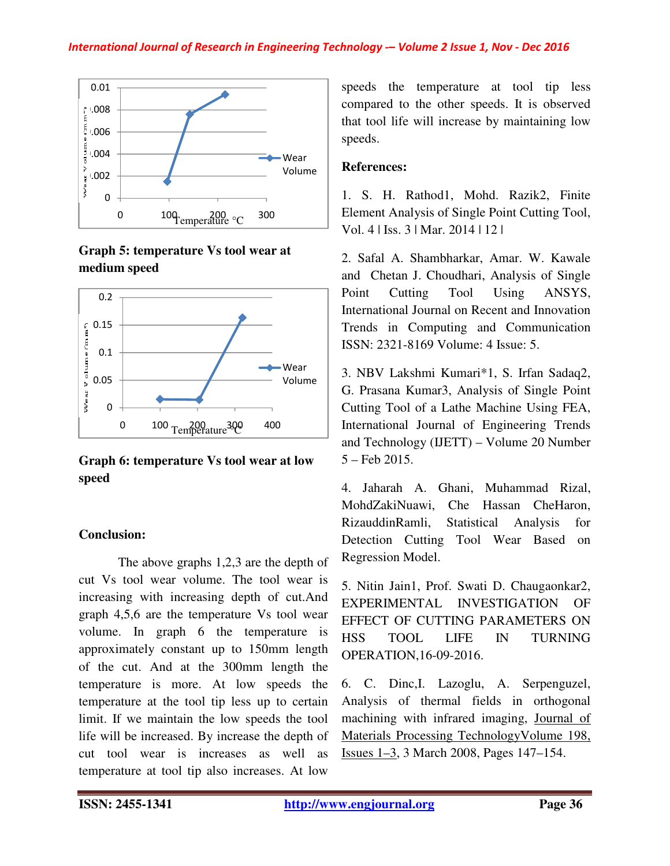

**Graph 5: temperature Vs tool wear at medium speed** 



**Graph 6: temperature Vs tool wear at low speed** 

# **Conclusion:**

The above graphs 1,2,3 are the depth of cut Vs tool wear volume. The tool wear is cut Vs tool wear volume. The tool wear is<br>increasing with increasing depth of cut.And graph 4,5,6 are the temperature Vs tool wear volume. In graph 6 the temperature is approximately constant up to 150mm length of the cut. And at the 300mm length the temperature is more. At low speed temperature at the tool tip less up to certain temperature at the tool tip less up to certain<br>limit. If we maintain the low speeds the tool life will be increased. By increase the depth of life will be increased. By increase the depth of<br>cut tool wear is increases as well as temperature at tool tip also increases. At low the temperature Vs tool wear<br>aph 6 the temperature is<br>onstant up to 150mm length<br>d at the 300mm length the<br>more. At low speeds the

speeds the temperature at tool tip less speeds the temperature at tool tip less<br>compared to the other speeds. It is observed that tool life will increase by maintaining low speeds.

### **References:**

1. S. H. Rathod1, Mohd. Razik2, Finite that tool life will increase by maintaining low<br>speeds.<br>**References:**<br>1. S. H. Rathod1, Mohd. Razik2, Finite<br>Element Analysis of Single Point Cutting Tool, Vol. 4 | Iss. 3 | Mar. 2014 | 12 |

2. Safal A. Shambharkar, Amar. W. Kawale and Chetan J. Choudhari, Analysis of Single Point Cutting Tool Using ANSYS, International Journal on Recent and Innovation Trends in Computing and Communication ISSN: 2321-8169 Volume: 4 Issue: 5. | Vol. 4 | Iss. 3 | Mar. 2014 | 12 |<br>
2. Safal A. Shambharkar, Amar. W. Kawale<br>
and Chetan J. Choudhari, Analysis of Single<br>
Point Cutting Tool Using ANSYS,<br>
International Journal on Recent and Innovation<br>
Trends in Comput

3. NBV Lakshmi Kumari\*1, S. Irfan Sadaq2, G. Prasana Kumar3, Analysis of Single Point Cutting Tool of a Lathe Machine Using FEA, International Journal of Engineering Trends and Technology (IJETT) – Volume 20 Number 5 – Feb 2015. 3. NBV Lakshmi Kumari\*1, S. Irfan Sadaq2, G. Prasana Kumar3, Analysis of Single Point Cutting Tool of a Lathe Machine Using FEA, International Journal of Engineering Trends and Technology (IJETT) – Volume 20 Number 5 – Feb

4. Jaharah A. Ghani, Muhammad Rizal, MohdZakiNuawi, Che Hassan CheHaron, RizauddinRamli, Statistical Analysis for Detection Cutting Tool Wear Based on Regression Model.

5. Nitin Jain1, Prof. Swati D. Chaugaonkar2, EXPERIMENTAL INVESTIGATION OF EFFECT OF CUTTING PARAMETERS ON HSS TOOL LIFE IN TURNING OPERATION,16-09-2016.

6. C. Dinc,I. Lazoglu, A. Analysis of thermal fields in orthogonal Analysis of thermal fields in orthogonal<br>machining with infrared imaging, Journal of Materials Processing Technology TechnologyVolume 198, Issues 1–3, 3 March 2008, Pages 147–154.